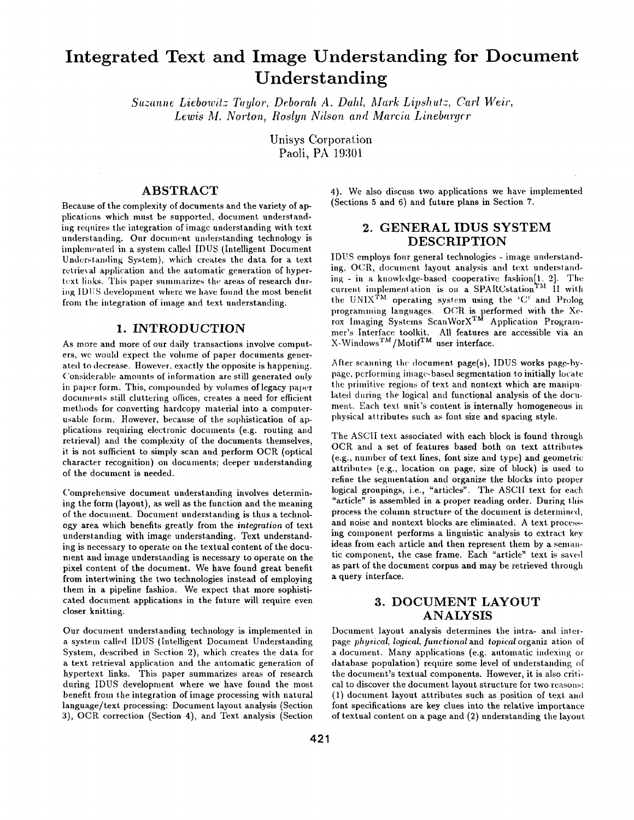# **Integrated Text and Image Understanding for Document Understanding**

*Suzanne Liebowitz Taylor, Deborah A. Dahl, Mark Lipshutz, Carl Weir,* Lewis M. Norton, Roslyn Nilson and Marcia Linebargcr

> Unisys Corporation Paoli, PA 19301

## **ABSTRACT**

Because of the complexity of documents and the variety of applications which must be supported, document understanding requires the integration of image understanding with text understanding. Our document understanding technology is implemented in a system called IDUS (Intelligent Document Understanding System), which creates the data for a text retrieval application and the automatic generation of hypertext links. This paper summarizes the areas of research during IDUS development where we have found the most benelit from the integration of image and text understanding.

#### **1. INTRODUCTION**

As more and more of our daily transactions involve computers, we would expect the volume of paper documents generated to decrease. However, exactly the opposite is happening. ('onsiderable amounts of information are still generated only in paper form. This, compounded by volumes of legacy paper documents still cluttering offices, creates a need for efficient methods for converting hardcopy material into a computerusable form. However, because of the sophistication of applications requiring electronic documents (e.g. routing and retrieval) and the complexity of the documents themselves, it is not sufficient to simply scan and perform OCR (optical character recognition) on documents; deeper understanding of the document is needed.

Comprehensive document understanding involves determining the form (layout), as well as the function and the meaning of the document. Document understanding is thus a technology area which benefits greatly from the *integration* of text understanding with image understanding. Text understanding is necessary to operate on the textual content of the document and image understanding is necessary to operate on the pixel content of the document. We have found great benefit from intertwining the two technologies instead of employing them in a pipeline fashion. We expect that more sophisticated document applications in the future will require even closer knitting.

Our document understanding technology is implemented in a system called IDUS (Intelligent Document Understanding System, described in Section 2), which creates the data for a text retrieval application and the automatic generation of hypertext links. This paper summarizes areas of research during IDUS development where we have found the most benefit from the integration of image processing with natural language/text processing: Document layout analysis (Section 3), OCR correction (Section 4), and Text analysis (Section

4). We also discuss two applications we have implemented (Sections 5 and 6) and future plans in Section 7.

#### **2. GENERAL IDUS SYSTEM DESCRIPTION**

IDUS employs four general technologies - image understanding, OCR, document layout analysis and text understanding - in a knowledge-based cooperative fashion[l~ 2]. The current implementation is on a SPARCstation<sup>TM</sup> II with the UNIX TM operating system using the 'C' and Prolog programming languages.  $\rm{OCR}$  is performed with the Xerox Imaging Systems ScanWorX™ Application Programmer's Interface toolkit. All features are accessible via an  $X-Windown^{TM}/Motif^{TM}$  user interface.

After scanning the document page(s), IDUS works pagg-bypage, pcrtorming image-based segmentation to initially locatc the primitive regions of text and nontext which are manipulated during the logical and functional analysis of the document. Each text unit's content is internally homogeneous in physical attributes such as font size and spacing style.

The ASCII text associated with each block is found through OCR and a set of features based both on text attributes (e.g., number of text lines, font size and type) and geometric attributes (e.g., location on page, size of block) is used to refine the segmentation and organize the blocks into proper logical groupings, i.e., "articles". The ASCII text for each "article" is assembled in a proper reading order. During this process the column structure of the document is determined, and noise and nontext blocks are eliminated. A text processing component performs a finguistic analysis to extract key ideas from each article and then represent them by a semantic component, the case frame. Each "article" text is saved as part of the document corpus and may be retrieved through a query interface.

#### **3. DOCUMENT LAYOUT ANALYSIS**

Document layout analysis determines the intra- and interpage *physical, logical, functional* and *topical* organization of a document. Many applications (e.g. automatic indexing or database population) require some level of understanding of the document's textual components. However, it is also critical to discover the document layout structure for two reasons: (1) document layout attributes such as position of text. and font specifications are key clues into the relative importance of textual content on a page and (2) understanding the layout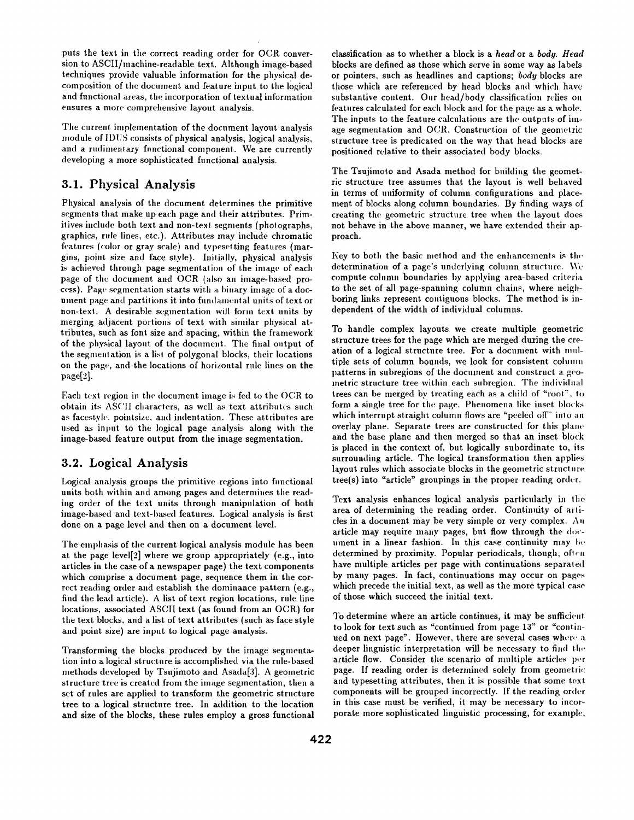puts the text in the correct reading order for OCR conversion to ASCII/machine-readable text. Although image-based techniques provide valuable information for the physical decomposition of the document and feature inpnt to the logical and functional areas, the incorporation of textual information ensures a more comprehensive layout analysis.

The current implementation of the document layout analysis module of IDUS consists of physical analysis, logical analysis, and a rudimentary functional component. We are currently developing a more sophisticated functional analysis.

## **3.1.** Physical Analysis

Physical analysis of the document determines the primitive segments that make up each page and their attributes. Primitives include both text and non-text segments (pholographs, graphics, rule lines, etc.). Attributes may include chromatic features (color or gray scale) and typesetting features (margins, point size and face style). Initially, physical analysis is achieved through page segmentation of the image of each page of the document and OCR (also an image-based process). Page segmentation starts with a binary image of a document page and partitions it into fundamental units of text or non-text. A desirable segmentation will form text units by merging adjacent portions of text with similar physical attributes, such as font size and spacing, within the framework of the physical layout of the document. The final output of the segment ation is a list of polygonal blocks, their locations on the page,, and the locations of horizontal rule lines on the  $page[2]$ .

Each text region in the document image is fed to the OCR to obtain its AS('II characters, as well as text attributes such as facestyle, pointsize, and indentation. These attributes are used as input to the logical page analysis along with the image-based feature output from the image segmentation.

## **3.2.** Logical Analysis

Logical analysis groups the primitive regions into fimctional units both within and among pages and determines the reading order of the text units through manipulation of both image-based and text-based features. Logical analysis is first done on a page level and then on a document level.

The emphasis of the current logical analysis module has been at the page level[2] where we group appropriately (e.g., into articles in the case of a newspaper page) the text components which comprise a document page, sequence them in the correct reading order and establish the dominance pattern (e.g., find the lead article). A list of text region locations, rule line locations, associated ASCII text (as found from an OCR) for the text blocks, and a list of text attributes (such as face style and point size) are input to logical page analysis.

Transforming the blocks produced by the image segmentation into a logical structure is accomplished via the rule-based methods developed by Tsujimoto and Asada[3]. A geometric structure tree is created from the image segmentation, then a set of rules are applied to transform the geometric structure tree to a logical structure tree. In addition to the location and size of the blocks, these rules employ a gross functional

classification as to whether a block is a *head* or a *body. Head*  blocks are defined as those which serve in some way as labels or pointers, such as headlines and captions; *body* blocks are those which are referenced by head blocks and which have substantive content. Our head/body classification relies on features calculated for each block and for the page as a whole. The inputs to the feature calculations are the outputs of image segmentation and OCR. Construction of the geometric structure tree is predicated on the way that head blocks are positioned relative to their associated body blocks.

The Tsujimoto and Asada method for building the geometric structure tree assumes that the layout is well behaved in terms of uniformity of column configurations and placement of blocks along column boundaries. By finding ways of creating the geometric structure tree when the layout does not behave in the above manner, we have extended their approach.

Key to both the basic method and the enhancements is the determination of a page's underlying column structure. We compute column boundaries by applying area-based criteria to the set of all page-spanning column chains, where neighboring links represent contiguous blocks. The method is independent of the width of individual columns.

To handle complex layouts we create multiple geometric structure trees for the page which are merged during the creation of a logical structure tree. For a document with mnltiple sets of column bounds, we look for consistent column patterns in subregions of the document and construct a geometric structure tree within each subregion. The individual trees can be merged by treating each as a child of "root", to form a single tree for the page. Phenomena like inset blocks which interrupt straight column flows are "peeled off" into an overlay plane. Separate trees are constructed for this plane. and the base plane and then merged so that an inset block is placed in the context of, but logically subordinate to, its surrounding article. The logical transformation then applies layout rules which associate blocks in the geometric structure tree(s) into "article" groupings in the proper reading order.

Text analysis enhances logical analysis particularly in the area of determining the reading order. Continuity of arlicles in a document may be very simple or very complex. Au article may require many pages, but flow through the document in a linear fashion. In this case continuity may be determined by proximity. Popular periodicals, though, often have multiple articles per page with continuations separated by many pages. In fact, continuations may occur on pages which precede the initial text, as well as the more typical case of those which succeed the initial text.

To determine where an article continues, it may be sufficient to look for text such as "continued from page 13" or "continued on next page". However, there are several cases where a deeper linguistic interpretation will be necessary to find the article flow. Consider the scenario of multiple articles per page. If reading order is determined solely from geometric and typesetting attributes, then it is possible that some text components will be grouped incorrectly. If the reading order in this case must be verified, it may be necessary to incorporate more sophisticated linguistic processing, for example,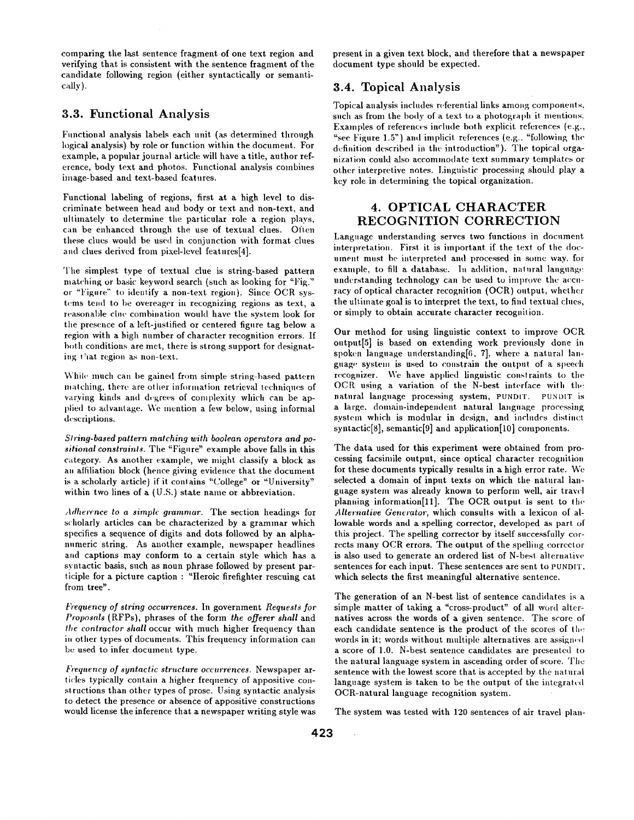comparing the last. sentence fragment of one text region and verifying that is consistent with the sentence fragment of the candidate following region (either syntactically or semantically).

## **3.3. Functional Analysis**

Functional analysis labels each unit (as determined through logical analysis) by role or function within the document. For example, a popular journal article will have a title, author reference, body text and photos. Functional analysis combines image-based and text-based features.

Functional labeling of regions, first at a high level to discriminate between head and body or text and non-text, and ultimately to determine the particular role a region plays, can be enhanced through the use of textual clues. Often these clues would be used in conjunction with format clues and clues derived from pixel-level features[4].

The simplest type of textual clue is string-based pattern matching or basic keyword search (such as looking for "Fig." *or "Figure"* to identify a non-text region). Since OCR systems tend to be overeager in recognizing regions as text, a reasonable cluc combination would have the system look for the presence of a left-justified or centered figure tag below a region with a high number of character recognition errors. If both conditions are met, there is strong support for designating  $t<sup>1</sup>$  at region as non-text.

While much can be gained from simple string-based pattern matching, there are other information retrieval techniques of varying kinds and degrees of complexity which can be applied to advantage. We mention a few below, using informal descriptions.

*Siring-based pattern matching with boolean operators and positional constraints.* The "Figure" example above falls in this category. As another example, we might classify a block as an atfiliation block (hence giving evidence that the document is a scholarly article) if it contains "College" or "University" within two lines of a (U.S.) state name or abbreviation.

*Adherence to a simple grammar.* The section headings for scholarly articles can be characterized by a grammar which specifies a sequence of digits and dots followed by an alphanumeric string. As another example, newspaper headlines and captions may conform to a certain style which has a syntactic basis, such as noun phrase followed by present participle for a picture caption : "Heroic firefighter rescuing cat from tree".

*k*)'equency of string occurrences. In government *Requests for Proposals* (RFPs), phrases of the form *the offerer shall* and *the contractor shall* occur with much higher frequency than in other types of documents. This frequency information can be used to infer document type.

*Frequency of syntactic structure occurrences.* Newspaper articles typically contain a higher frequency of appositive constructions than other types of prose. Using syntactic analysis to detect the presence or absence of appositive constructions would license the inference that a newspaper writing style was present in a given text block, and therefore that a newspaper document type should be expected.

## **3.4.** Topical Analysis

Topical analysis includes referential links among components, such as from the body of a text to a photograph it mentions. Examples of references include both explicit references (e.g., "see Figure 1.5") and implicit references (e.g.. "following the definition described in the introduction"). The topical organization could also accommodate text summary templates or other interpretive notes. Linguistic processing should play a key role in determining the topical organization.

## **4. OPTICAL CHARACTER**  RECOGNITION CORRECTION

Language understanding serves two functions in document interpretation. First it is important if the text of the document must be interpreted and processed in some way, for example, to fill a database. In addition, natural language understanding technology can be used to improve the accuracy of optical character recognition (OCR) output, whether the ultimate goal is to interpret the text, to find textual clues, or simply to obtain accurate character recognition.

Our method for using linguistic context to improve OCR output[5] is based on extending work previously done in spoken language understanding $[6, 7]$ , where a natural language system is used to constrain the output of a speech recognizer. We have applied linguistic constraints to the OCR using a variation of the N-best interface with the natural language processing system, PUNDIT. PUNDIT is a large, domain-independent naturai language processing system which is modular in design, and includes distinct syntactic[8], semantic[9] and application[10] components.

The data used for this experiment were obtained from processing facsimile output, since optical character recognition for these documents typically results in a high error rate. We selected a domain of input texts on which the natural language system was already known to perform well, air travel planning information[Ill. The OCR output is sent to the *Alternative Generator,* which consults with a lexicon of allowable words and a spelling corrector, developed as part of this project. The spelling corrector by itself successfully corrects many OCR errors. The output of the spelling corrector is also used to generate an ordered list of N-best alternative sentences for each input. These sentences are sent to PUNDIT, which selects the first meaningful alternative sentence.

The generation of an N-best list of sentence candidates is a simple matter of taking a "cross-product" of all word alternatives across the words of a given sentence. The score of each candidate sentence is the product of the scores of the words in it; words without multiple alternatives are assigned a score of 1.0. N-best sentence candidates are presented to the natural language system in ascending order of score. The sentence with the lowest score that is accepted by the natural language system is taken to be the output of the integrated OCR-natural language recognition system.

The system was tested with 120 sentences of air travel plan-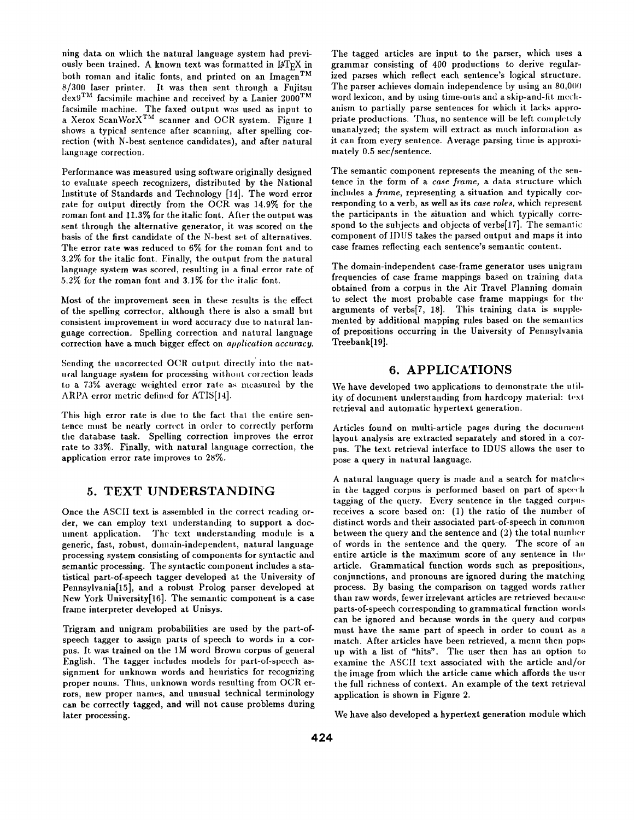ning data on which the natural language system had previously been trained. A known text was formatted in  $\mathbb{I} \mathcal{F} \Gamma_{\text{F}} X$  in both roman and italic fonts, and printed on an Imagen<sup>TM</sup>  $8/300$  laser printer. It was then sent through a Fujitsu  $d$ ex<sup>9TM</sup> facsimile machine and received by a Lanier 2000<sup>TM</sup> facsimile machine. The faxed output was used as input to a Xerox ScanWorX<sup>TM</sup> scanner and OCR system. Figure 1 shows a typical sentence after scanning, after spelling correction (with N-best sentence candidates), and after natural language correction.

Performance was measured using software originally designed to ewduate speech recognizers, distributed by the National Institute of Standards and Technology [14]. The word error rate for output directly from the OCR was 14.9% for the roman font and 11.3% for the italic font. After the output was sent through the alternative generator, it was scored on the basis of the first candidate of the N-best set of alternatives. The error rate was reduced to 6% for the roman font and to 3.2% for the italic font. Finally, the output from the natural language system was scored, resulting in a final error rate of 5.2% for the roman font and 3.1% for the italic font.

Most of the improvement seen in these results is the effect of the spelling corrector, although there is also a small but consistent improvement in word accuracy due to natural language correction. Spelling correction and natural language *correction* have a much bigger effect on *application accuracy.* 

Sending the uncorrected OCR output directly into the natural language system for processing without correction leads to a 73% average weighted error rale as measured by the *ARPA* error metric defined for ATIS[14].

This high error rate is due to the fact that the entire sentence must be nearly correct in order to correctly perform the database task. Spelling correction improves the error rate to 33%. Finally, with natural language correction, the application error rate improves to 28%.

#### **5. TEXT UNDERSTANDING**

Once the ASCII text is assembled in the correct reading order, we can employ text understanding to support a document application. The text understanding module is a generic, fast, robust, domain-independent, natural language processing system consisting of components for syntactic and semantic processing. The syntactic component includes a statistical part-of-speech tagger developed at the University of Pennsylvania[15], and a robust Prolog parser developed at New York University[16]. The semantic component is a case frame interpreter developed at Unisys.

Trigram and unigram probabilities are used by the part-ofspeech tagger to assign parts of speech to words in a corpus. It was trained on the 1M word Brown corpus of general English. The tagger includes models for part-of-speech assignment for unknown words and heuristics for recognizing proper nouns. Thus, unknown words resulting from OCR errors, new proper names, and unusual technical terminology can be correctly tagged, and will not cause problems during later processing.

The tagged articles are input to the parser, which uses a grammar consisting of 400 productions to derive regularized parses which reflect each sentence's logical structure. The parser achieves domain independence by using an 80,000 word lexicon, and by using time-outs and a skip-and-fit mechanism to partially parse sentences for which it lacks appropriate productions. Thus, no sentence will be left completely unanalyzed; the system will extract as much information as it can from eyery sentence. Average parsing time is approximately 0.5 see/sentence.

The semantic component represents the meaning of the sentence in the form of a *case frame,* a data structure which includes a *frame*, representing a situation and typically corresponding to a verb, as well as its *case roles,* which represent the participants in the situation and which typically correspond to the subjects and objects of verbs $[17]$ . The semantic component of IDUS takes the parsed output and maps it into case frames reflecting each sentence's semantic content.

The domain-independent case-frame generator uses unigram frequencies of case frame mappings based on training data obtained from a corpus in the Air Travel Planning domain to select the most probable case frame mappings for the arguments of verbs<sup>[7</sup>, 18]. This training data is supplemented by additional mapping rules based on the semantics of prepositions occurring in the University of Pennsylvania Treebank[19].

#### **6. APPLICATIONS**

We have developed two applications to demonstrate the utility of document understanding from hardcopy material: text retrieval and automatic hypertext generation.

Articles found on multi-article pages during the document layout analysis are extracted separately and stored in a corpus. The text retrieval interface to IDUS allows the user to pose a query in natural language.

A natural language query is made and a search for matches in the tagged corpus is performed based on part of speech tagging of the query. Every sentence in the tagged corpus receives a score based on: (1) the ratio of the number of distinct words and their associated part-of-speech in common between the query and the sentence and  $(2)$  the total number of words in the sentence and the query. The score of an entire article is the maximum score of any sentence in the article. Grammatical function words such as prepositions, conjunctions, and pronouns are ignored during the matching process. By basing the comparison on tagged words rather than raw words, fewer irrelevant articles are retrieved because parts-of-speech corresponding to grammatical function words can be ignored and because words in the query and corpus must have the same part of speech in order to count as a match. After articles have been retrieved, a menu then pops up with a list of "hits". The user then has an option to examine the ASCII text associated with the article and/or the image from which the article came which affords the user the fnll richness of context. An example of the text retrieval application is shown in Figure 2.

We have also developed a hypertext generation module which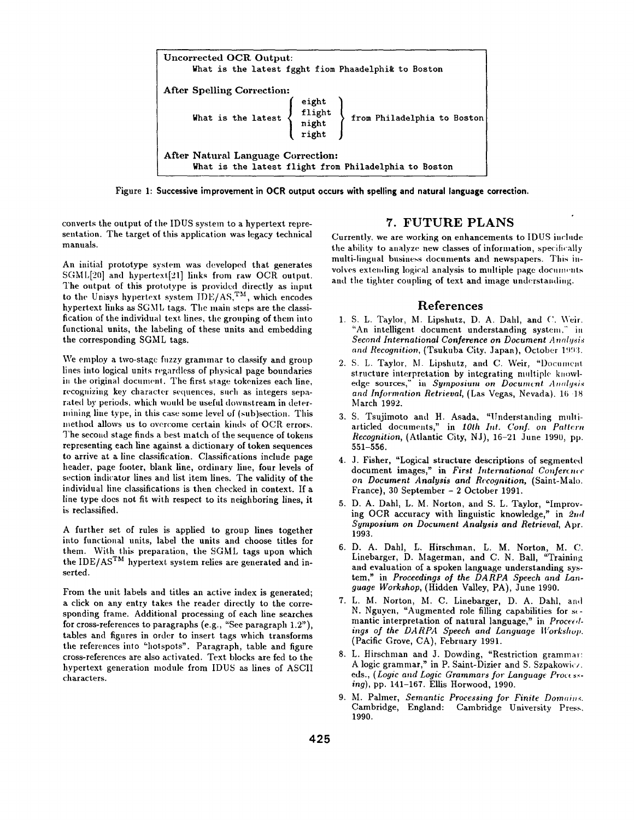

**Figure 1: Successive improvement in OCR output occurs with spelling and natural language correction.** 

converts the output of the IDUS system to a hypertext representation. The target of this application was legacy technical manuals.

An initial prototype system was developed that generates SGML[20] and hypertext[21] links from raw OCR output. The output of this prototype is provided directly as input to the Unisys hypertext system  $IDE/AS$ , TM, which encodes hypertext links as SGML tags. The main steps are the classification of the individual text lines, the grouping of them into functional units, the labeling of these units and embedding the corresponding SGML tags.

We employ a two-stage fuzzy grammar to classify and group lines into logical units regardless of physical page boundaries in the original document. The first stage tokenizes each line, recognizing key character sequences, such as integers separated by periods, which would be useful downstream in determining line type, in this case some level of (sub)section. This method allows us to overcome certain kinds of OCR errors. The second stage finds a best match of the sequence of tokens representing each line against a dictionary of token sequences to arrive at a line classification. Classifications include page header, page footer, blank line, ordinary line, four levels of section indicator lines and list item lines. The validity of the individual line classifications is then checked in context. If a line type does not fit with respect to its neighboring lines, it is reclassified.

A further set of rules is applied to group lines together into functional units, label the units and choose titles for them. With this preparation, the SGML tags upon which the IDE/AS<sup>TM</sup> hypertext system relies are generated and inserted.

From the unit labels and titles an active index is generated; a click on any entry takes the reader directly to the corresponding frame. Additional processing of each line searches for cross-references to paragraphs (e.g., "See paragraph 1.2"), tables and figures in order to insert tags which transforms the references into "hotspots". Paragraph, table and figure cross-references are also activated. Text blocks are fed to the hypertext generation module from IDUS as lines of ASCII characters.

## 7. FUTURE PLANS

Currently, we are working on enhancements to IDUS include the ability to analyze new classes of information, specitically multi-lingual business documents and newspapers. This involves extending logical analysis to multiple page documents and the tighter coupling of text and image understanding.

#### References

- 1. S. L. Taylor, M. Lipshutz, D. A. Dahl, and C. Weir. "An intelligent document understanding system," in *Second International Conference on Document Analysis* and Recognition, *(Tsukuba City, Japan)*, October 1993.
- 2. S. L. Taylor, M. Lipshutz, and C. Weir, "Document structure interpretation by integrating multiple knowledge sources," in *Symposium on Document Analysis and Information Retrieval,* (Las Vegas, Nevada). 16 18 March 1992.
- 3. S. Tsujimoto and H. Asada, "Understanding multiarticled documents," in 10th Int. Conf. on Pattern *Recognition, (Atlantic City, NJ), 16-21 June 1990, pp.* 551-556.
- 4. J. Fisher, "Logical structure descriptions of segmented document images," in *First International Conference on Document Analysis and Recognition,* (Saint-Malo. France), 30 September - 2 October 1991.
- 5. D. A. Dahl, L. M. Norton, and S. L. Taylor, "Improving OCR accuracy with linguistic knowledge," in  $2nd$ *Symposium on Document Analysis and Retrieval,* Apr. 1993.
- 6. D. A. Dahl, L. Hirschman, L. M. Norton, M. C. Linebarger, D. Magerman, and C. N. Ball, "Training and evaluation of a spoken language understanding system," in *Proceedings of the DARPA Speech and Language Workshop,* (Hidden Valley, PA), June 1990.
- 7. L. M. Norton, hi. C. Linebarger, D. A. Dahl, and N. Nguyen, "Augmented role filling capabilities for semantic interpretation of natural language," in Proceedings of the DARPA Speech and Language Workshop. (Pacific Grove, CA), February 1991.
- 8. L. Hirschman and J. Dowding, "Restriction grammar: A logic grammar," in P. Saint-Dizier and S. Szpakowic/. eds., *(Logic and Logic Grammars for Language Processing),* pp. 141-167. Ellis Horwood, 1990.
- 9. M. Palmer, *Semantic Processing for Finite Domains.* Cambridge, England: Cambridge University Press, 1990.